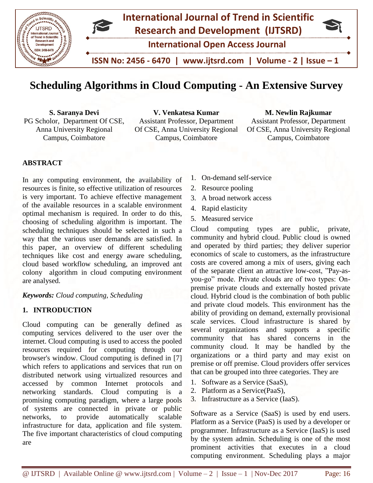

# **Scheduling Algorithms in Cloud Computing - An Extensive Survey**

**S. Saranya Devi** PG Scholor, Department Of CSE, Anna University Regional Campus, Coimbatore

**V. Venkatesa Kumar** Assistant Professor, Department Of CSE, Anna University Regional Campus, Coimbatore

#### **M. Newlin Rajkumar**

Assistant Professor, Department Of CSE, Anna University Regional Campus, Coimbatore

## **ABSTRACT**

In any computing environment, the availability of resources is finite, so effective utilization of resources is very important. To achieve effective management of the available resources in a scalable environment optimal mechanism is required. In order to do this, choosing of scheduling algorithm is important. The scheduling techniques should be selected in such a way that the various user demands are satisfied. In this paper, an overview of different scheduling techniques like cost and energy aware scheduling, cloud based workflow scheduling, an improved ant colony algorithm in cloud computing environment are analysed.

## *Keywords: Cloud computing, Scheduling*

## **1. INTRODUCTION**

Cloud computing can be generally defined as computing services delivered to the user over the internet. Cloud computing is used to access the pooled resources required for computing through our browser's window. Cloud computing is defined in [7] which refers to applications and services that run on distributed network using virtualized resources and accessed by common Internet protocols and networking standards. Cloud computing is a promising computing paradigm, where a large pools of systems are connected in private or public networks, to provide automatically scalable infrastructure for data, application and file system. The five important characteristics of cloud computing are

- 1. On-demand self-service
- 2. Resource pooling
- 3. A broad network access
- 4. Rapid elasticity
- 5. Measured service

Cloud computing types are public, private, community and hybrid cloud. Public cloud is owned and operated by third parties; they deliver superior economics of scale to customers, as the infrastructure costs are covered among a mix of users, giving each of the separate client an attractive low-cost, "Pay-asyou-go" mode. Private clouds are of two types: Onpremise private clouds and externally hosted private cloud. Hybrid cloud is the combination of both public and private cloud models. This environment has the ability of providing on demand, externally provisional scale services. Cloud infrastructure is shared by several organizations and supports a specific community that has shared concerns in the community cloud. It may be handled by the organizations or a third party and may exist on premise or off premise. Cloud providers offer services that can be grouped into three categories. They are

- 1. Software as a Service (SaaS),
- 2. Platform as a Service(PaaS),
- 3. Infrastructure as a Service (IaaS).

Software as a Service (SaaS) is used by end users. Platform as a Service (PaaS) is used by a developer or programmer. Infrastructure as a Service (IaaS) is used by the system admin. Scheduling is one of the most prominent activities that executes in a cloud computing environment. Scheduling plays a major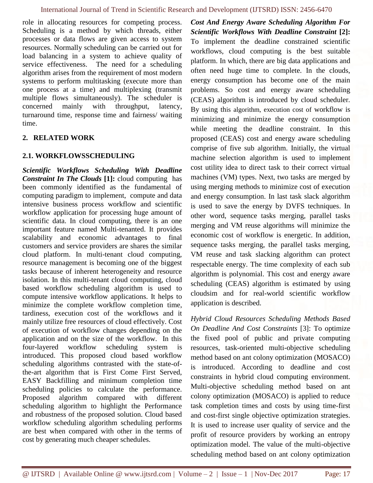role in allocating resources for competing process. Scheduling is a method by which threads, either processes or data flows are given access to system resources. Normally scheduling can be carried out for load balancing in a system to achieve quality of service effectiveness. The need for a scheduling algorithm arises from the requirement of most modern systems to perform multitasking (execute more than one process at a time) and multiplexing (transmit multiple flows simultaneously). The scheduler is concerned mainly with throughput, latency, turnaround time, response time and fairness/ waiting time.

## **2. RELATED WORK**

## **2.1. WORKFLOWSSCHEDULING**

*Scientific Workflows Scheduling With Deadline Constraint In The Clouds* **[1]:** cloud computing has been commonly identified as the fundamental of computing paradigm to implement, compute and data intensive business process workflow and scientific workflow application for processing huge amount of scientific data. In cloud computing, there is an one important feature named Multi-tenanted. It provides scalability and economic advantages to final customers and service providers are shares the similar cloud platform. In multi-tenant cloud computing, resource management is becoming one of the biggest tasks because of inherent heterogeneity and resource isolation. In this multi-tenant cloud computing, cloud based workflow scheduling algorithm is used to compute intensive workflow applications. It helps to minimize the complete workflow completion time, tardiness, execution cost of the workflows and it mainly utilize free resources of cloud effectively. Cost of execution of workflow changes depending on the application and on the size of the workflow. In this four-layered workflow scheduling system is introduced. This proposed cloud based workflow scheduling algorithms contrasted with the state-ofthe-art algorithm that is First Come First Served, EASY Backfilling and minimum completion time scheduling policies to calculate the performance. Proposed algorithm compared with different scheduling algorithm to highlight the Performance and robustness of the proposed solution. Cloud based workflow scheduling algorithm scheduling performs are best when compared with other in the terms of cost by generating much cheaper schedules.

*Cost And Energy Aware Scheduling Algorithm For Scientific Workflows With Deadline Constraint* **[2]:** To implement the deadline constrained scientific workflows, cloud computing is the best suitable platform. In which, there are big data applications and often need huge time to complete. In the clouds, energy consumption has become one of the main problems. So cost and energy aware scheduling (CEAS) algorithm is introduced by cloud scheduler. By using this algorithm, execution cost of workflow is minimizing and minimize the energy consumption while meeting the deadline constraint. In this proposed (CEAS) cost and energy aware scheduling comprise of five sub algorithm. Initially, the virtual machine selection algorithm is used to implement cost utility idea to direct task to their correct virtual machines (VM) types. Next, two tasks are merged by using merging methods to minimize cost of execution and energy consumption. In last task slack algorithm is used to save the energy by DVFS techniques. In other word, sequence tasks merging, parallel tasks merging and VM reuse algorithms will minimize the economic cost of workflow is energetic. In addition, sequence tasks merging, the parallel tasks merging, VM reuse and task slacking algorithm can protect respectable energy. The time complexity of each sub algorithm is polynomial. This cost and energy aware scheduling (CEAS) algorithm is estimated by using cloudsim and for real-world scientific workflow application is described.

*Hybrid Cloud Resources Scheduling Methods Based On Deadline And Cost Constraints* [3]: To optimize the fixed pool of public and private computing resources, task-oriented multi-objective scheduling method based on ant colony optimization (MOSACO) is introduced. According to deadline and cost constraints in hybrid cloud computing environment. Multi-objective scheduling method based on ant colony optimization (MOSACO) is applied to reduce task completion times and costs by using time-first and cost-first single objective optimization strategies. It is used to increase user quality of service and the profit of resource providers by working an entropy optimization model. The value of the multi-objective scheduling method based on ant colony optimization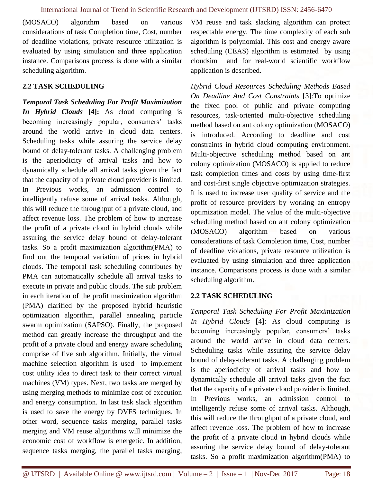(MOSACO) algorithm based on various considerations of task Completion time, Cost, number of deadline violations, private resource utilization is evaluated by using simulation and three application instance. Comparisons process is done with a similar scheduling algorithm.

## **2.2 TASK SCHEDULING**

*Temporal Task Scheduling For Profit Maximization In Hybrid Clouds* **[4]:** As cloud computing is becoming increasingly popular, consumers' tasks around the world arrive in cloud data centers. Scheduling tasks while assuring the service delay bound of delay-tolerant tasks. A challenging problem is the aperiodicity of arrival tasks and how to dynamically schedule all arrival tasks given the fact that the capacity of a private cloud provider is limited. In Previous works, an admission control to intelligently refuse some of arrival tasks. Although, this will reduce the throughput of a private cloud, and affect revenue loss. The problem of how to increase the profit of a private cloud in hybrid clouds while assuring the service delay bound of delay-tolerant tasks. So a profit maximization algorithm(PMA) to find out the temporal variation of prices in hybrid clouds. The temporal task scheduling contributes by PMA can automatically schedule all arrival tasks to execute in private and public clouds. The sub problem in each iteration of the profit maximization algorithm (PMA) clarified by the proposed hybrid heuristic optimization algorithm, parallel annealing particle swarm optimization (SAPSO). Finally, the proposed method can greatly increase the throughput and the profit of a private cloud and energy aware scheduling comprise of five sub algorithm. Initially, the virtual machine selection algorithm is used to implement cost utility idea to direct task to their correct virtual machines (VM) types. Next, two tasks are merged by using merging methods to minimize cost of execution and energy consumption. In last task slack algorithm is used to save the energy by DVFS techniques. In other word, sequence tasks merging, parallel tasks merging and VM reuse algorithms will minimize the economic cost of workflow is energetic. In addition, sequence tasks merging, the parallel tasks merging, VM reuse and task slacking algorithm can protect respectable energy. The time complexity of each sub algorithm is polynomial. This cost and energy aware scheduling (CEAS) algorithm is estimated by using cloudsim and for real-world scientific workflow application is described.

*Hybrid Cloud Resources Scheduling Methods Based On Deadline And Cost Constraints* [3]:To optimize the fixed pool of public and private computing resources, task-oriented multi-objective scheduling method based on ant colony optimization (MOSACO) is introduced. According to deadline and cost constraints in hybrid cloud computing environment. Multi-objective scheduling method based on ant colony optimization (MOSACO) is applied to reduce task completion times and costs by using time-first and cost-first single objective optimization strategies. It is used to increase user quality of service and the profit of resource providers by working an entropy optimization model. The value of the multi-objective scheduling method based on ant colony optimization (MOSACO) algorithm based on various considerations of task Completion time, Cost, number of deadline violations, private resource utilization is evaluated by using simulation and three application instance. Comparisons process is done with a similar scheduling algorithm.

## **2.2 TASK SCHEDULING**

*Temporal Task Scheduling For Profit Maximization In Hybrid Clouds* [4]: As cloud computing is becoming increasingly popular, consumers' tasks around the world arrive in cloud data centers. Scheduling tasks while assuring the service delay bound of delay-tolerant tasks. A challenging problem is the aperiodicity of arrival tasks and how to dynamically schedule all arrival tasks given the fact that the capacity of a private cloud provider is limited. In Previous works, an admission control to intelligently refuse some of arrival tasks. Although, this will reduce the throughput of a private cloud, and affect revenue loss. The problem of how to increase the profit of a private cloud in hybrid clouds while assuring the service delay bound of delay-tolerant tasks. So a profit maximization algorithm(PMA) to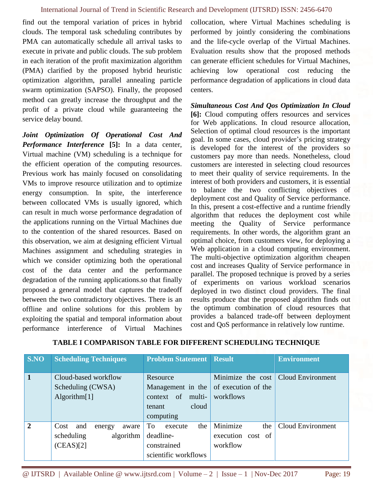find out the temporal variation of prices in hybrid clouds. The temporal task scheduling contributes by PMA can automatically schedule all arrival tasks to execute in private and public clouds. The sub problem in each iteration of the profit maximization algorithm (PMA) clarified by the proposed hybrid heuristic optimization algorithm, parallel annealing particle swarm optimization (SAPSO). Finally, the proposed method can greatly increase the throughput and the profit of a private cloud while guaranteeing the service delay bound.

*Joint Optimization Of Operational Cost And Performance Interference* **[5]:** In a data center, Virtual machine (VM) scheduling is a technique for the efficient operation of the computing resources. Previous work has mainly focused on consolidating VMs to improve resource utilization and to optimize energy consumption. In spite, the interference between collocated VMs is usually ignored, which can result in much worse performance degradation of the applications running on the Virtual Machines due to the contention of the shared resources. Based on this observation, we aim at designing efficient Virtual Machines assignment and scheduling strategies in which we consider optimizing both the operational cost of the data center and the performance degradation of the running applications.so that finally proposed a general model that captures the tradeoff between the two contradictory objectives. There is an offline and online solutions for this problem by exploiting the spatial and temporal information about performance interference of Virtual Machines collocation, where Virtual Machines scheduling is performed by jointly considering the combinations and the life-cycle overlap of the Virtual Machines. Evaluation results show that the proposed methods can generate efficient schedules for Virtual Machines, achieving low operational cost reducing the performance degradation of applications in cloud data centers.

*Simultaneous Cost And Qos Optimization In Cloud* **[6]:** Cloud computing offers resources and services for Web applications. In cloud resource allocation, Selection of optimal cloud resources is the important goal. In some cases, cloud provider's pricing strategy is developed for the interest of the providers so customers pay more than needs. Nonetheless, cloud customers are interested in selecting cloud resources to meet their quality of service requirements. In the interest of both providers and customers, it is essential to balance the two conflicting objectives of deployment cost and Quality of Service performance. In this, present a cost-effective and a runtime friendly algorithm that reduces the deployment cost while meeting the Quality of Service performance requirements. In other words, the algorithm grant an optimal choice, from customers view, for deploying a Web application in a cloud computing environment. The multi-objective optimization algorithm cheapen cost and increases Quality of Service performance in parallel. The proposed technique is proved by a series of experiments on various workload scenarios deployed in two distinct cloud providers. The final results produce that the proposed algorithm finds out the optimum combination of cloud resources that provides a balanced trade-off between deployment cost and QoS performance in relatively low runtime.

| S.NO           | <b>Scheduling Techniques</b>   | <b>Problem Statement   Result</b> |                     | <b>Environment</b> |  |
|----------------|--------------------------------|-----------------------------------|---------------------|--------------------|--|
|                |                                |                                   |                     |                    |  |
| $\mathbf 1$    | Cloud-based workflow           | Resource                          | Minimize the cost   | Cloud Environment  |  |
|                | Scheduling (CWSA)              | Management in the                 | of execution of the |                    |  |
|                | Algorithm $[1]$                | of<br>multi-<br>context           | workflows           |                    |  |
|                |                                | cloud<br>tenant                   |                     |                    |  |
|                |                                | computing                         |                     |                    |  |
| $\overline{2}$ | Cost<br>and<br>energy<br>aware | the<br>To<br>execute              | Minimize<br>the     | Cloud Environment  |  |
|                | algorithm<br>scheduling        | deadline-                         | execution cost of   |                    |  |
|                | (CEAS)[2]                      | constrained                       | workflow            |                    |  |
|                |                                | scientific workflows              |                     |                    |  |

## **TABLE I COMPARISON TABLE FOR DIFFERENT SCHEDULING TECHNIQUE**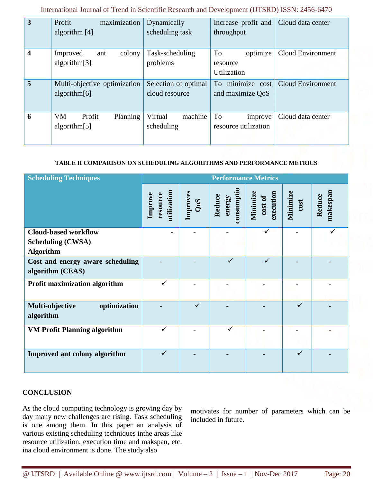**3** Profit maximization algorithm [4] Dynamically scheduling task Increase profit and throughput Cloud data center **4** Improved ant colony algorithm[3] Task-scheduling problems To optimize resource Utilization Cloud Environment **5** Multi-objective optimization algorithm[6] Selection of optimal cloud resource To minimize cost and maximize QoS Cloud Environment

International Journal of Trend in Scientific Research and Development (IJTSRD) ISSN: 2456-6470

## **TABLE II COMPARISON ON SCHEDULING ALGORITHMS AND PERFORMANCE METRICS**

Virtual machine

To improve resource utilization

Cloud data center

scheduling

| <b>Scheduling Techniques</b>                                                | <b>Performance Metrics</b>         |                 |                               |                                  |                  |                    |
|-----------------------------------------------------------------------------|------------------------------------|-----------------|-------------------------------|----------------------------------|------------------|--------------------|
|                                                                             | utilization<br>Improve<br>resource | Improves<br>QoS | consumpti<br>Reduce<br>energy | Minimize<br>execution<br>cost of | Minimize<br>cost | makespan<br>Reduce |
| <b>Cloud-based workflow</b><br><b>Scheduling (CWSA)</b><br><b>Algorithm</b> |                                    |                 |                               |                                  |                  | ✓                  |
| Cost and energy aware scheduling<br>algorithm (CEAS)                        |                                    |                 |                               | ✓                                |                  |                    |
| <b>Profit maximization algorithm</b>                                        | ✓                                  |                 |                               |                                  |                  |                    |
| optimization<br>Multi-objective<br>algorithm                                |                                    | $\checkmark$    |                               |                                  | $\checkmark$     |                    |
| <b>VM Profit Planning algorithm</b>                                         | ✓                                  |                 | $\checkmark$                  |                                  |                  |                    |
| Improved ant colony algorithm                                               | $\checkmark$                       |                 |                               |                                  | $\checkmark$     |                    |

## **CONCLUSION**

As the cloud computing technology is growing day by day many new challenges are rising. Task scheduling is one among them. In this paper an analysis of various existing scheduling techniques inthe areas like resource utilization, execution time and makspan, etc. ina cloud environment is done. The study also

**6** VM Profit Planning

algorithm[5]

motivates for number of parameters which can be included in future.